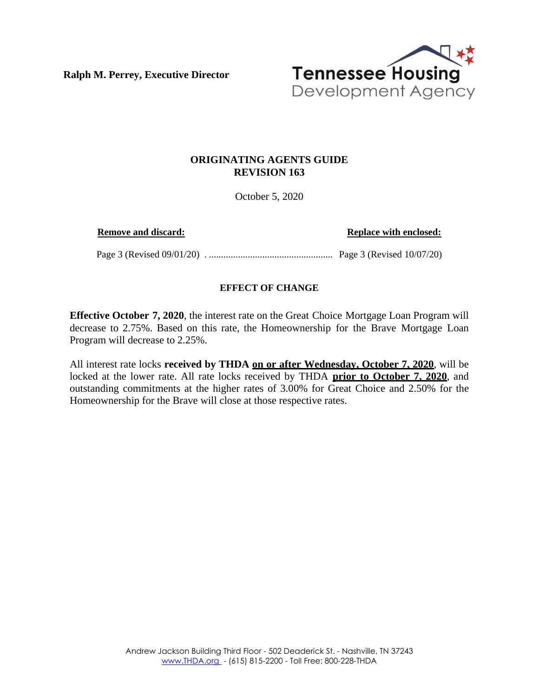**Ralph M. Perrey, Executive Director**



# **ORIGINATING AGENTS GUIDE REVISION 163**

October 5, 2020

**Remove and discard: Replace with enclosed: Replace with enclosed:** 

Page 3 (Revised 09/01/20) . ................................................... Page 3 (Revised 10/07/20)

## **EFFECT OF CHANGE**

**Effective October 7, 2020**, the interest rate on the Great Choice Mortgage Loan Program will decrease to 2.75%. Based on this rate, the Homeownership for the Brave Mortgage Loan Program will decrease to 2.25%.

All interest rate locks **received by THDA on or after Wednesday, October 7, 2020**, will be locked at the lower rate. All rate locks received by THDA **prior to October 7, 2020**, and outstanding commitments at the higher rates of 3.00% for Great Choice and 2.50% for the Homeownership for the Brave will close at those respective rates.